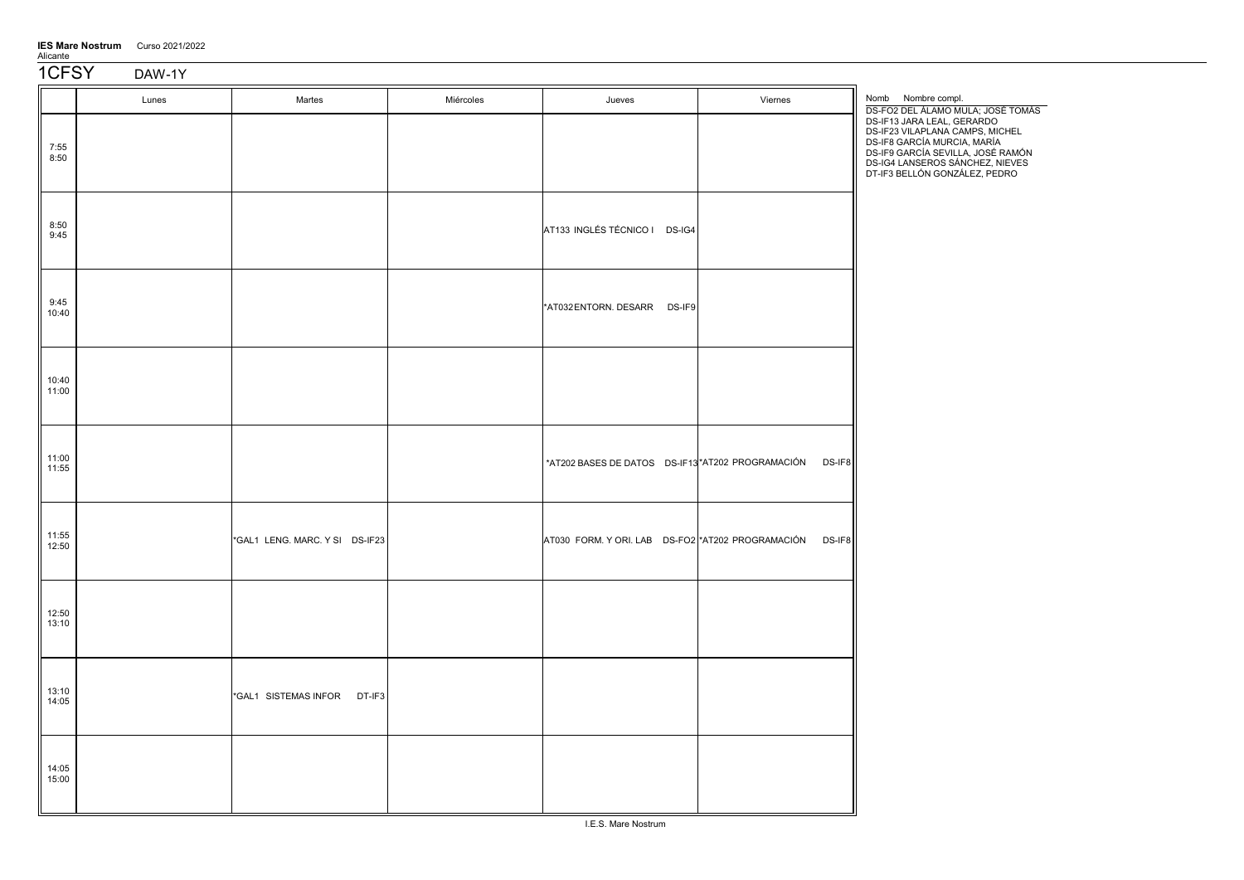| <b>IES Mare Nostrum</b> | Curso 2021/2022 |
|-------------------------|-----------------|
| Alicante                |                 |

1CFSY DAW-1Y

|                | Lunes | Martes                         | Miércoles | Jueves                                            | Viernes | Nomb Nombre compl.<br>DS-FO2 DEL ÁLAMO MULA; JOSÉ TOMÁS                                                                                                                                                                                  |
|----------------|-------|--------------------------------|-----------|---------------------------------------------------|---------|------------------------------------------------------------------------------------------------------------------------------------------------------------------------------------------------------------------------------------------|
| 7:55<br>8:50   |       |                                |           |                                                   |         | DS-IF13 JARA LEAL, GERARDO<br>DS-IF23 VILAPLANA CAMPS, MICHEL<br>DS-IF8 GARCÍA MURCIA, MARÍA<br>DS-IF9 GARCÍA SEVILLA, JOSÉ RAMÓN<br>DS-IG4 LANSEROS SÁNCHEZ, NIEVES<br>DS-IG4 LANSEROS SÁNCHEZ, NIEVES<br>DT-IF3 BELLÓN GONZÁLEZ, PEDRO |
| 8:50<br>9:45   |       |                                |           | AT133 INGLÉS TÉCNICO I DS-IG4                     |         |                                                                                                                                                                                                                                          |
| 9:45<br>10:40  |       |                                |           | *AT032 ENTORN. DESARR DS-IF9                      |         |                                                                                                                                                                                                                                          |
| 10:40<br>11:00 |       |                                |           |                                                   |         |                                                                                                                                                                                                                                          |
| 11:00<br>11:55 |       |                                |           | *AT202 BASES DE DATOS DS-IF13 *AT202 PROGRAMACIÓN | DS-IF8  |                                                                                                                                                                                                                                          |
| 11:55<br>12:50 |       | *GAL1 LENG. MARC. Y SI DS-IF23 |           | AT030 FORM. Y ORI. LAB DS-FO2 *AT202 PROGRAMACIÓN | DS-IF8  |                                                                                                                                                                                                                                          |
| 12:50<br>13:10 |       |                                |           |                                                   |         |                                                                                                                                                                                                                                          |
| 13:10<br>14:05 |       | *GAL1 SISTEMAS INFOR DT-IF3    |           |                                                   |         |                                                                                                                                                                                                                                          |
| 14:05<br>15:00 |       |                                |           |                                                   |         |                                                                                                                                                                                                                                          |